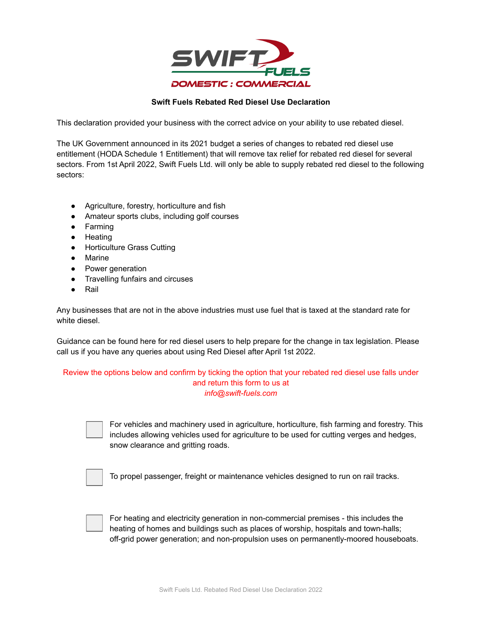

## **Swift Fuels Rebated Red Diesel Use Declaration**

This declaration provided your business with the correct advice on your ability to use rebated diesel.

The UK Government announced in its 2021 budget a series of changes to rebated red diesel use entitlement (HODA Schedule 1 Entitlement) that will remove tax relief for rebated red diesel for several sectors. From 1st April 2022, Swift Fuels Ltd. will only be able to supply rebated red diesel to the following sectors:

- Agriculture, forestry, horticulture and fish
- Amateur sports clubs, including golf courses
- Farming
- Heating
- Horticulture Grass Cutting
- Marine
- Power generation
- Travelling funfairs and circuses
- Rail

Any businesses that are not in the above industries must use fuel that is taxed at the standard rate for white diesel.

Guidance can be found here for red diesel users to help prepare for the change in tax legislation. Please call us if you have any queries about using Red Diesel after April 1st 2022.

## Review the options below and confirm by ticking the option that your rebated red diesel use falls under and return this form to us at *info@swift-fuels.com*



For vehicles and machinery used in agriculture, horticulture, fish farming and forestry. This includes allowing vehicles used for agriculture to be used for cutting verges and hedges, snow clearance and gritting roads.

To propel passenger, freight or maintenance vehicles designed to run on rail tracks.



For heating and electricity generation in non-commercial premises - this includes the heating of homes and buildings such as places of worship, hospitals and town-halls; off-grid power generation; and non-propulsion uses on permanently-moored houseboats.